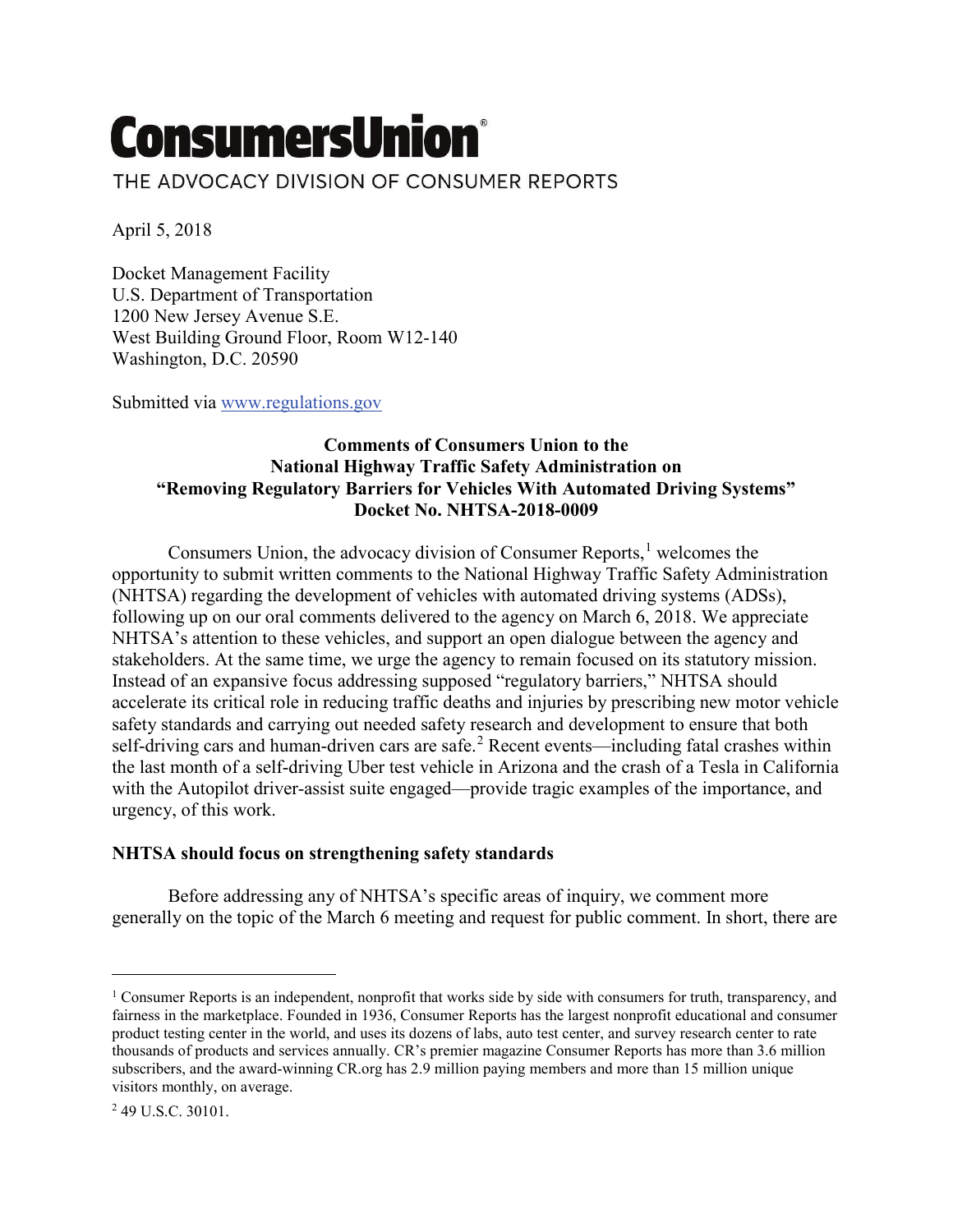# **ConsumersUnion®** THE ADVOCACY DIVISION OF CONSUMER REPORTS

April 5, 2018

Docket Management Facility U.S. Department of Transportation 1200 New Jersey Avenue S.E. West Building Ground Floor, Room W12-140 Washington, D.C. 20590

Submitted via [www.regulations.gov](http://www.regulations.gov/)

# **Comments of Consumers Union to the National Highway Traffic Safety Administration on "Removing Regulatory Barriers for Vehicles With Automated Driving Systems" Docket No. NHTSA-2018-0009**

Consumers Union, the advocacy division of Consumer Reports,<sup>[1](#page-0-0)</sup> welcomes the opportunity to submit written comments to the National Highway Traffic Safety Administration (NHTSA) regarding the development of vehicles with automated driving systems (ADSs), following up on our oral comments delivered to the agency on March 6, 2018. We appreciate NHTSA's attention to these vehicles, and support an open dialogue between the agency and stakeholders. At the same time, we urge the agency to remain focused on its statutory mission. Instead of an expansive focus addressing supposed "regulatory barriers," NHTSA should accelerate its critical role in reducing traffic deaths and injuries by prescribing new motor vehicle safety standards and carrying out needed safety research and development to ensure that both self-driving cars and human-driven cars are safe.<sup>[2](#page-0-1)</sup> Recent events—including fatal crashes within the last month of a self-driving Uber test vehicle in Arizona and the crash of a Tesla in California with the Autopilot driver-assist suite engaged—provide tragic examples of the importance, and urgency, of this work.

## **NHTSA should focus on strengthening safety standards**

Before addressing any of NHTSA's specific areas of inquiry, we comment more generally on the topic of the March 6 meeting and request for public comment. In short, there are

 $\overline{a}$ 

<span id="page-0-0"></span><sup>1</sup> Consumer Reports is an independent, nonprofit that works side by side with consumers for truth, transparency, and fairness in the marketplace. Founded in 1936, Consumer Reports has the largest nonprofit educational and consumer product testing center in the world, and uses its dozens of labs, auto test center, and survey research center to rate thousands of products and services annually. CR's premier magazine Consumer Reports has more than 3.6 million subscribers, and the award-winning CR.org has 2.9 million paying members and more than 15 million unique visitors monthly, on average.

<span id="page-0-1"></span><sup>2</sup> 49 U.S.C. 30101.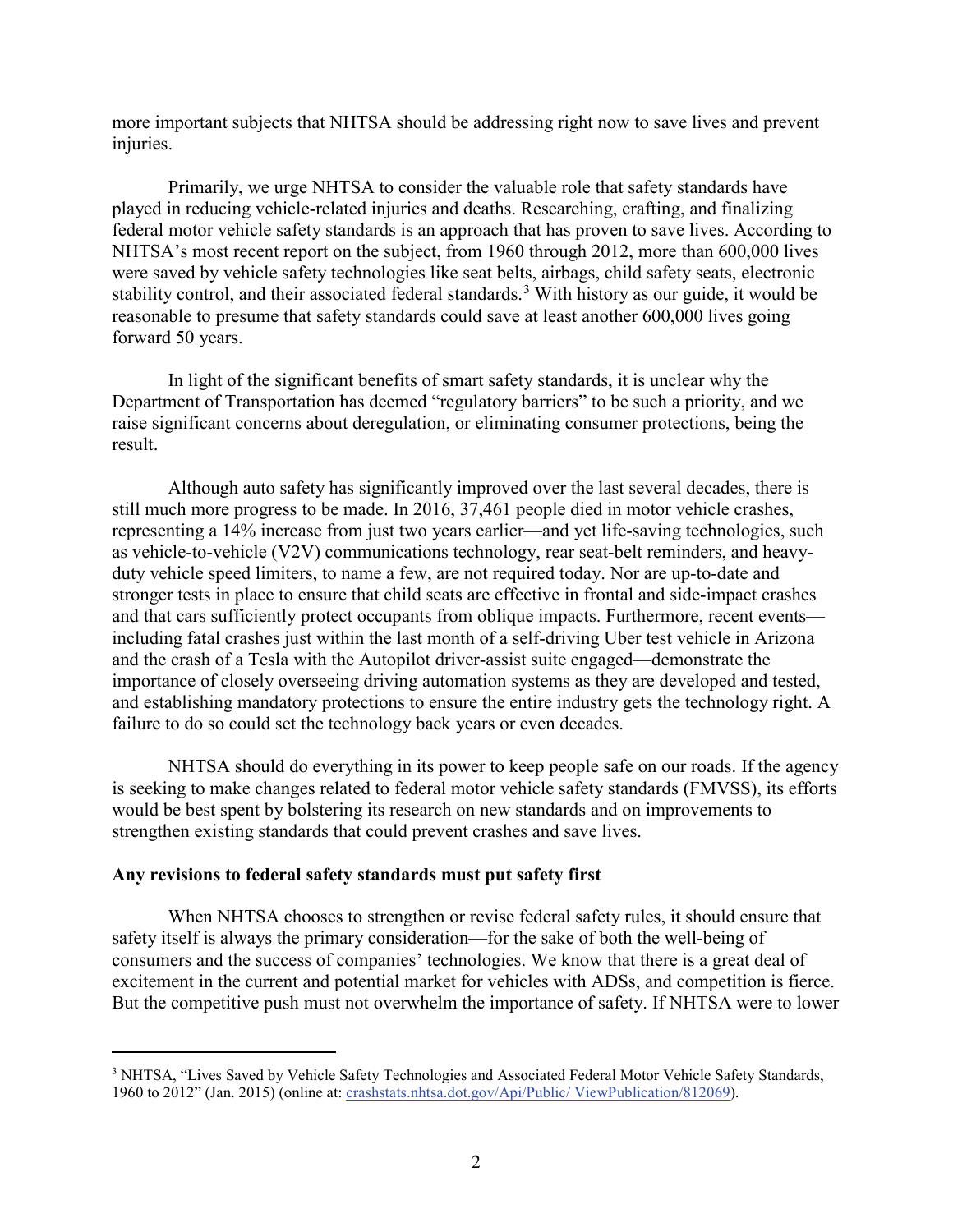more important subjects that NHTSA should be addressing right now to save lives and prevent injuries.

Primarily, we urge NHTSA to consider the valuable role that safety standards have played in reducing vehicle-related injuries and deaths. Researching, crafting, and finalizing federal motor vehicle safety standards is an approach that has proven to save lives. According to NHTSA's most recent report on the subject, from 1960 through 2012, more than 600,000 lives were saved by vehicle safety technologies like seat belts, airbags, child safety seats, electronic stability control, and their associated federal standards.<sup>[3](#page-1-0)</sup> With history as our guide, it would be reasonable to presume that safety standards could save at least another 600,000 lives going forward 50 years.

In light of the significant benefits of smart safety standards, it is unclear why the Department of Transportation has deemed "regulatory barriers" to be such a priority, and we raise significant concerns about deregulation, or eliminating consumer protections, being the result.

Although auto safety has significantly improved over the last several decades, there is still much more progress to be made. In 2016, 37,461 people died in motor vehicle crashes, representing a 14% increase from just two years earlier—and yet life-saving technologies, such as vehicle-to-vehicle (V2V) communications technology, rear seat-belt reminders, and heavyduty vehicle speed limiters, to name a few, are not required today. Nor are up-to-date and stronger tests in place to ensure that child seats are effective in frontal and side-impact crashes and that cars sufficiently protect occupants from oblique impacts. Furthermore, recent events including fatal crashes just within the last month of a self-driving Uber test vehicle in Arizona and the crash of a Tesla with the Autopilot driver-assist suite engaged—demonstrate the importance of closely overseeing driving automation systems as they are developed and tested, and establishing mandatory protections to ensure the entire industry gets the technology right. A failure to do so could set the technology back years or even decades.

NHTSA should do everything in its power to keep people safe on our roads. If the agency is seeking to make changes related to federal motor vehicle safety standards (FMVSS), its efforts would be best spent by bolstering its research on new standards and on improvements to strengthen existing standards that could prevent crashes and save lives.

## **Any revisions to federal safety standards must put safety first**

 $\overline{a}$ 

When NHTSA chooses to strengthen or revise federal safety rules, it should ensure that safety itself is always the primary consideration—for the sake of both the well-being of consumers and the success of companies' technologies. We know that there is a great deal of excitement in the current and potential market for vehicles with ADSs, and competition is fierce. But the competitive push must not overwhelm the importance of safety. If NHTSA were to lower

<span id="page-1-0"></span><sup>&</sup>lt;sup>3</sup> NHTSA, "Lives Saved by Vehicle Safety Technologies and Associated Federal Motor Vehicle Safety Standards, 1960 to 2012" (Jan. 2015) (online at: [crashstats.nhtsa.dot.gov/Api/Public/ ViewPublication/812069\)](https://crashstats.nhtsa.dot.gov/Api/Public/ViewPublication/812069).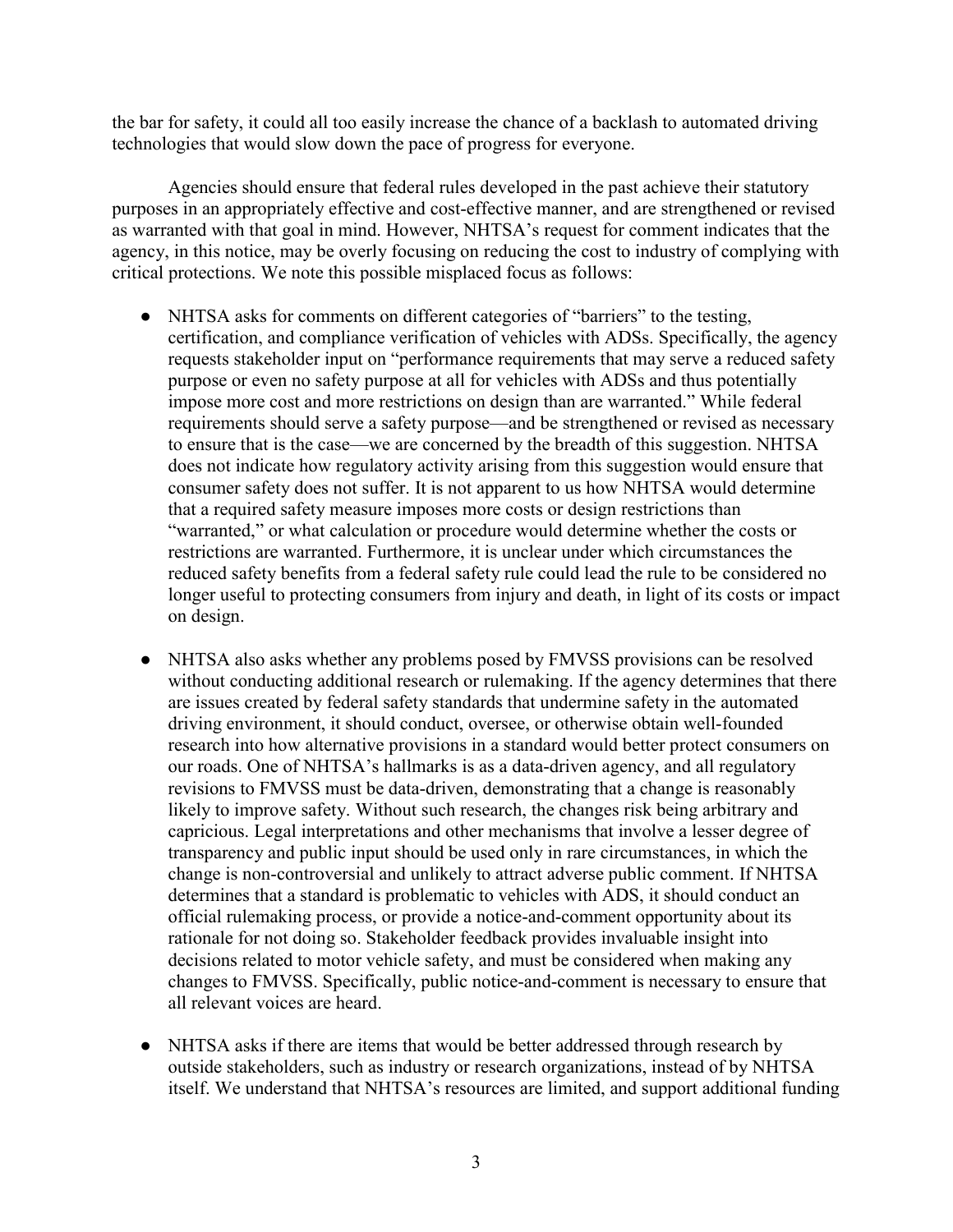the bar for safety, it could all too easily increase the chance of a backlash to automated driving technologies that would slow down the pace of progress for everyone.

Agencies should ensure that federal rules developed in the past achieve their statutory purposes in an appropriately effective and cost-effective manner, and are strengthened or revised as warranted with that goal in mind. However, NHTSA's request for comment indicates that the agency, in this notice, may be overly focusing on reducing the cost to industry of complying with critical protections. We note this possible misplaced focus as follows:

- NHTSA asks for comments on different categories of "barriers" to the testing, certification, and compliance verification of vehicles with ADSs. Specifically, the agency requests stakeholder input on "performance requirements that may serve a reduced safety purpose or even no safety purpose at all for vehicles with ADSs and thus potentially impose more cost and more restrictions on design than are warranted." While federal requirements should serve a safety purpose—and be strengthened or revised as necessary to ensure that is the case—we are concerned by the breadth of this suggestion. NHTSA does not indicate how regulatory activity arising from this suggestion would ensure that consumer safety does not suffer. It is not apparent to us how NHTSA would determine that a required safety measure imposes more costs or design restrictions than "warranted," or what calculation or procedure would determine whether the costs or restrictions are warranted. Furthermore, it is unclear under which circumstances the reduced safety benefits from a federal safety rule could lead the rule to be considered no longer useful to protecting consumers from injury and death, in light of its costs or impact on design.
- NHTSA also asks whether any problems posed by FMVSS provisions can be resolved without conducting additional research or rulemaking. If the agency determines that there are issues created by federal safety standards that undermine safety in the automated driving environment, it should conduct, oversee, or otherwise obtain well-founded research into how alternative provisions in a standard would better protect consumers on our roads. One of NHTSA's hallmarks is as a data-driven agency, and all regulatory revisions to FMVSS must be data-driven, demonstrating that a change is reasonably likely to improve safety. Without such research, the changes risk being arbitrary and capricious. Legal interpretations and other mechanisms that involve a lesser degree of transparency and public input should be used only in rare circumstances, in which the change is non-controversial and unlikely to attract adverse public comment. If NHTSA determines that a standard is problematic to vehicles with ADS, it should conduct an official rulemaking process, or provide a notice-and-comment opportunity about its rationale for not doing so. Stakeholder feedback provides invaluable insight into decisions related to motor vehicle safety, and must be considered when making any changes to FMVSS. Specifically, public notice-and-comment is necessary to ensure that all relevant voices are heard.
- NHTSA asks if there are items that would be better addressed through research by outside stakeholders, such as industry or research organizations, instead of by NHTSA itself. We understand that NHTSA's resources are limited, and support additional funding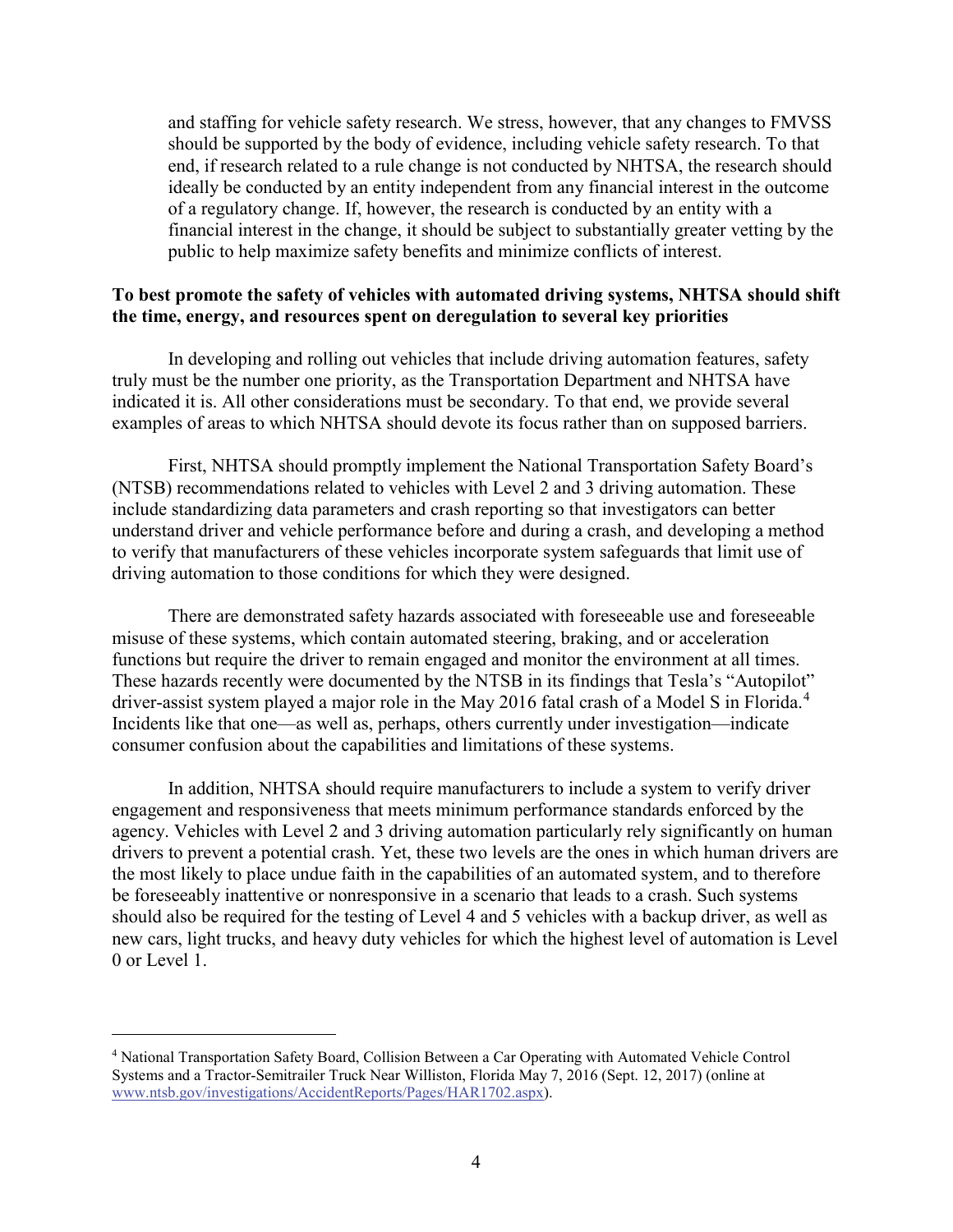and staffing for vehicle safety research. We stress, however, that any changes to FMVSS should be supported by the body of evidence, including vehicle safety research. To that end, if research related to a rule change is not conducted by NHTSA, the research should ideally be conducted by an entity independent from any financial interest in the outcome of a regulatory change. If, however, the research is conducted by an entity with a financial interest in the change, it should be subject to substantially greater vetting by the public to help maximize safety benefits and minimize conflicts of interest.

### **To best promote the safety of vehicles with automated driving systems, NHTSA should shift the time, energy, and resources spent on deregulation to several key priorities**

In developing and rolling out vehicles that include driving automation features, safety truly must be the number one priority, as the Transportation Department and NHTSA have indicated it is. All other considerations must be secondary. To that end, we provide several examples of areas to which NHTSA should devote its focus rather than on supposed barriers.

First, NHTSA should promptly implement the National Transportation Safety Board's (NTSB) recommendations related to vehicles with Level 2 and 3 driving automation. These include standardizing data parameters and crash reporting so that investigators can better understand driver and vehicle performance before and during a crash, and developing a method to verify that manufacturers of these vehicles incorporate system safeguards that limit use of driving automation to those conditions for which they were designed.

There are demonstrated safety hazards associated with foreseeable use and foreseeable misuse of these systems, which contain automated steering, braking, and or acceleration functions but require the driver to remain engaged and monitor the environment at all times. These hazards recently were documented by the NTSB in its findings that Tesla's "Autopilot" driver-assist system played a major role in the May 2016 fatal crash of a Model S in Florida.<sup>[4](#page-3-0)</sup> Incidents like that one—as well as, perhaps, others currently under investigation—indicate consumer confusion about the capabilities and limitations of these systems.

In addition, NHTSA should require manufacturers to include a system to verify driver engagement and responsiveness that meets minimum performance standards enforced by the agency. Vehicles with Level 2 and 3 driving automation particularly rely significantly on human drivers to prevent a potential crash. Yet, these two levels are the ones in which human drivers are the most likely to place undue faith in the capabilities of an automated system, and to therefore be foreseeably inattentive or nonresponsive in a scenario that leads to a crash. Such systems should also be required for the testing of Level 4 and 5 vehicles with a backup driver, as well as new cars, light trucks, and heavy duty vehicles for which the highest level of automation is Level 0 or Level 1.

 $\overline{a}$ 

<span id="page-3-0"></span><sup>4</sup> National Transportation Safety Board, Collision Between a Car Operating with Automated Vehicle Control Systems and a Tractor-Semitrailer Truck Near Williston, Florida May 7, 2016 (Sept. 12, 2017) (online at [www.ntsb.gov/investigations/AccidentReports/Pages/HAR1702.aspx\)](https://www.ntsb.gov/investigations/AccidentReports/Pages/HAR1702.aspx).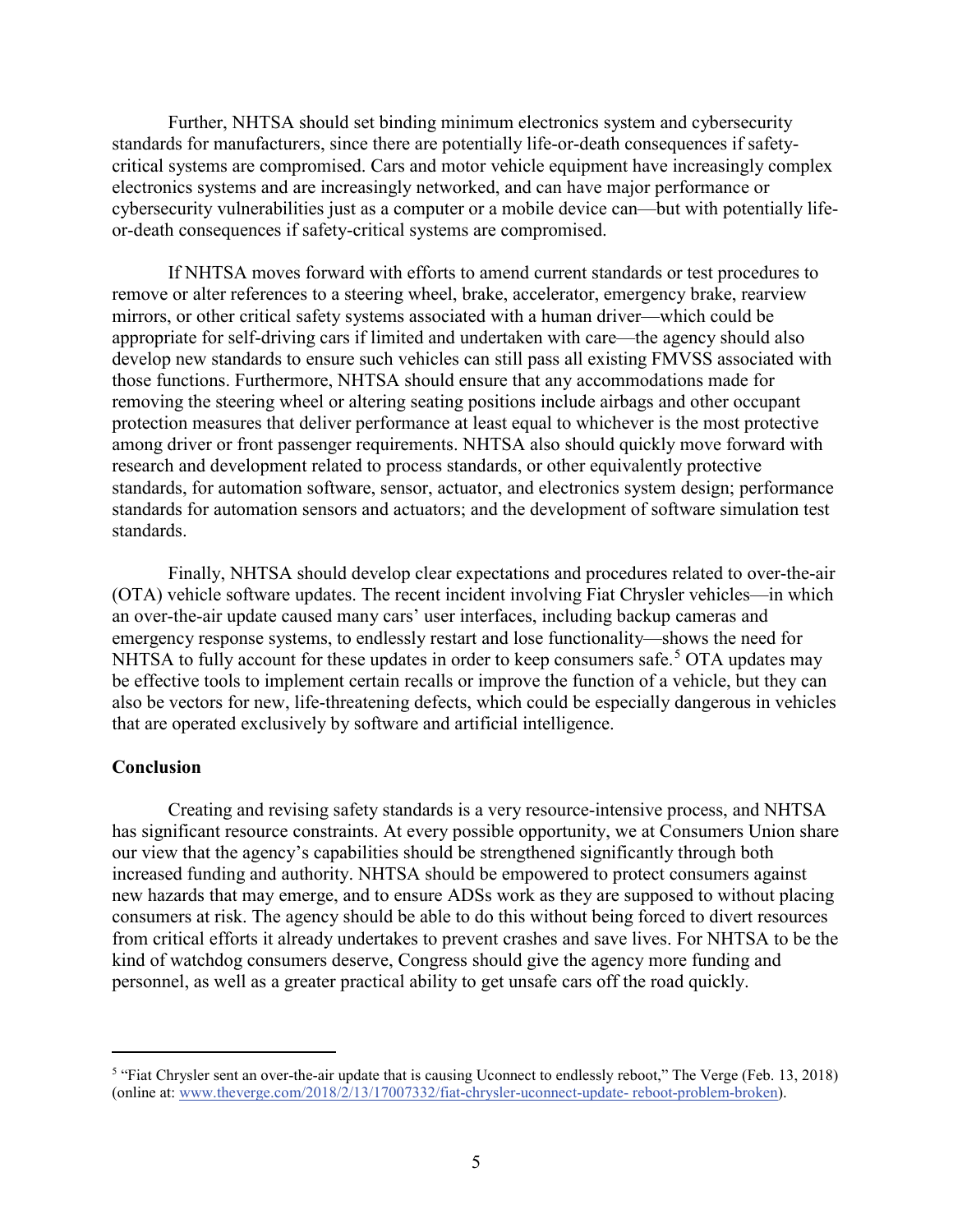Further, NHTSA should set binding minimum electronics system and cybersecurity standards for manufacturers, since there are potentially life-or-death consequences if safetycritical systems are compromised. Cars and motor vehicle equipment have increasingly complex electronics systems and are increasingly networked, and can have major performance or cybersecurity vulnerabilities just as a computer or a mobile device can—but with potentially lifeor-death consequences if safety-critical systems are compromised.

If NHTSA moves forward with efforts to amend current standards or test procedures to remove or alter references to a steering wheel, brake, accelerator, emergency brake, rearview mirrors, or other critical safety systems associated with a human driver—which could be appropriate for self-driving cars if limited and undertaken with care—the agency should also develop new standards to ensure such vehicles can still pass all existing FMVSS associated with those functions. Furthermore, NHTSA should ensure that any accommodations made for removing the steering wheel or altering seating positions include airbags and other occupant protection measures that deliver performance at least equal to whichever is the most protective among driver or front passenger requirements. NHTSA also should quickly move forward with research and development related to process standards, or other equivalently protective standards, for automation software, sensor, actuator, and electronics system design; performance standards for automation sensors and actuators; and the development of software simulation test standards.

Finally, NHTSA should develop clear expectations and procedures related to over-the-air (OTA) vehicle software updates. The recent incident involving Fiat Chrysler vehicles—in which an over-the-air update caused many cars' user interfaces, including backup cameras and emergency response systems, to endlessly restart and lose functionality—shows the need for NHTSA to fully account for these updates in order to keep consumers safe.<sup>[5](#page-4-0)</sup> OTA updates may be effective tools to implement certain recalls or improve the function of a vehicle, but they can also be vectors for new, life-threatening defects, which could be especially dangerous in vehicles that are operated exclusively by software and artificial intelligence.

#### **Conclusion**

 $\overline{a}$ 

Creating and revising safety standards is a very resource-intensive process, and NHTSA has significant resource constraints. At every possible opportunity, we at Consumers Union share our view that the agency's capabilities should be strengthened significantly through both increased funding and authority. NHTSA should be empowered to protect consumers against new hazards that may emerge, and to ensure ADSs work as they are supposed to without placing consumers at risk. The agency should be able to do this without being forced to divert resources from critical efforts it already undertakes to prevent crashes and save lives. For NHTSA to be the kind of watchdog consumers deserve, Congress should give the agency more funding and personnel, as well as a greater practical ability to get unsafe cars off the road quickly.

<span id="page-4-0"></span><sup>&</sup>lt;sup>5</sup> "Fiat Chrysler sent an over-the-air update that is causing Uconnect to endlessly reboot," The Verge (Feb. 13, 2018) (online at: [www.theverge.com/2018/2/13/17007332/fiat-chrysler-uconnect-update-](https://www.theverge.com/2018/2/13/17007332/fiat-chrysler-uconnect-update-reboot-problem-broken) reboot-problem-broken).